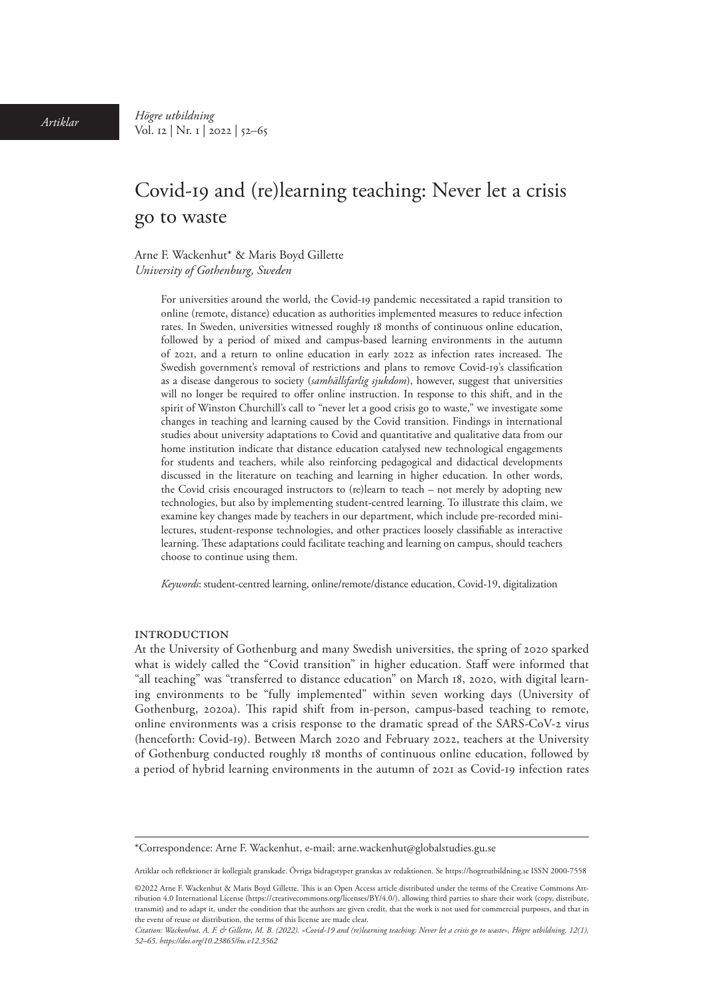# Covid-19 and (re)learning teaching: Never let a crisis go to waste

Arne F. Wackenhut\* & Maris Boyd Gillette *University of Gothenburg, Sweden*

> For universities around the world, the Covid-19 pandemic necessitated a rapid transition to online (remote, distance) education as authorities implemented measures to reduce infection rates. In Sweden, universities witnessed roughly 18 months of continuous online education, followed by a period of mixed and campus-based learning environments in the autumn of 2021, and a return to online education in early 2022 as infection rates increased. The Swedish government's removal of restrictions and plans to remove Covid-19's classification as a disease dangerous to society (*samhällsfarlig sjukdom*), however, suggest that universities will no longer be required to offer online instruction. In response to this shift, and in the spirit of Winston Churchill's call to "never let a good crisis go to waste," we investigate some changes in teaching and learning caused by the Covid transition. Findings in international studies about university adaptations to Covid and quantitative and qualitative data from our home institution indicate that distance education catalysed new technological engagements for students and teachers, while also reinforcing pedagogical and didactical developments discussed in the literature on teaching and learning in higher education. In other words, the Covid crisis encouraged instructors to (re)learn to teach – not merely by adopting new technologies, but also by implementing student-centred learning. To illustrate this claim, we examine key changes made by teachers in our department, which include pre-recorded minilectures, student-response technologies, and other practices loosely classifiable as interactive learning. These adaptations could facilitate teaching and learning on campus, should teachers choose to continue using them.

*Keywords*: student-centred learning, online/remote/distance education, Covid-19, digitalization

#### **INTRODUCTION**

At the University of Gothenburg and many Swedish universities, the spring of 2020 sparked what is widely called the "Covid transition" in higher education. Staff were informed that "all teaching" was "transferred to distance education" on March 18, 2020, with digital learning environments to be "fully implemented" within seven working days (University of Gothenburg, 2020a). This rapid shift from in-person, campus-based teaching to remote, online environments was a crisis response to the dramatic spread of the SARS-CoV-2 virus (henceforth: Covid-19). Between March 2020 and February 2022, teachers at the University of Gothenburg conducted roughly 18 months of continuous online education, followed by a period of hybrid learning environments in the autumn of 2021 as Covid-19 infection rates

<sup>\*</sup>Correspondence: Arne F. Wackenhut, e-mail: [arne.wackenhut@globalstudies.gu.se](mailto:arne.wackenhut@globalstudies.gu.se)

Artiklar och reflektioner är kollegialt granskade. Övriga bidragstyper granskas av redaktionen. Se https://hogreutbildning.se ISSN 2000-7558

<sup>©2022</sup> Arne F. Wackenhut & Maris Boyd Gillette. This is an Open Access article distributed under the terms of the Creative Commons Attribution 4.0 International License (https://creativecommons.org/licenses/BY/4.0/), allowing third parties to share their work (copy, distribute, transmit) and to adapt it, under the condition that the authors are given credit, that the work is not used for commercial purposes, and that in the event of reuse or distribution, the terms of this license are made clear.

*Citation: Wackenhut, A. F. & Gillette, M. B. (2022). «Covid-19 and (re)learning teaching: Never let a crisis go to waste», Högre utbildning, 12(1), 52–65. [https://doi.org/10.23865/hu.v12.3](https://doi.org/10.23865/hu.v12.3562)562*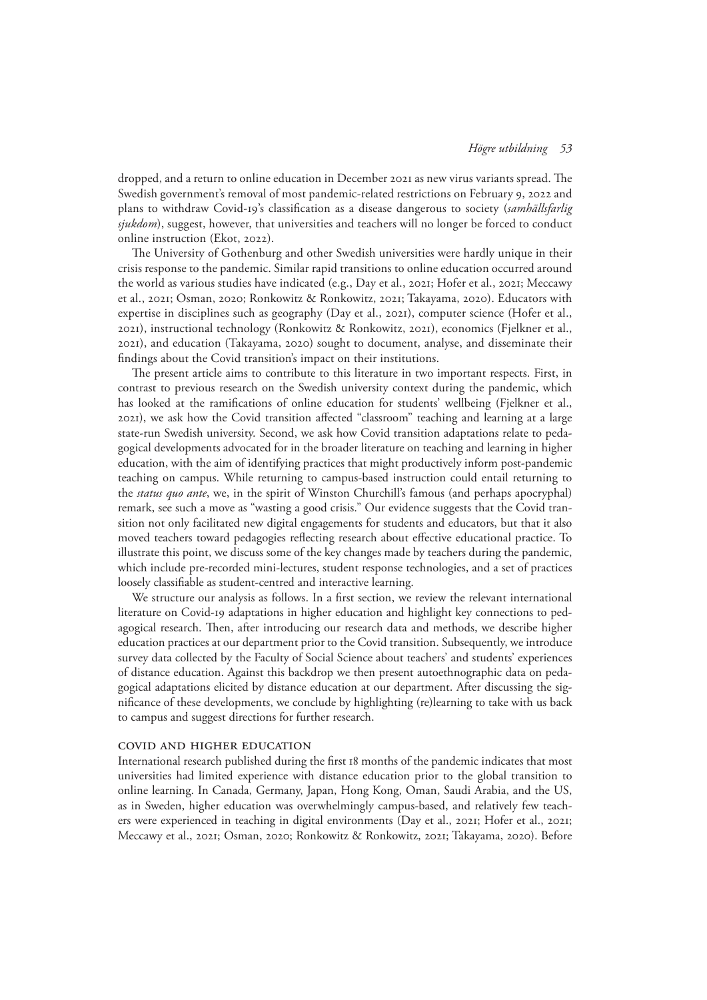dropped, and a return to online education in December 2021 as new virus variants spread. The Swedish government's removal of most pandemic-related restrictions on February 9, 2022 and plans to withdraw Covid-19's classification as a disease dangerous to society (*samhällsfarlig sjukdom*), suggest, however, that universities and teachers will no longer be forced to conduct online instruction (Ekot, 2022).

The University of Gothenburg and other Swedish universities were hardly unique in their crisis response to the pandemic. Similar rapid transitions to online education occurred around the world as various studies have indicated (e.g., Day et al., 2021; Hofer et al., 2021; Meccawy et al., 2021; Osman, 2020; Ronkowitz & Ronkowitz, 2021; Takayama, 2020). Educators with expertise in disciplines such as geography (Day et al., 2021), computer science (Hofer et al., 2021), instructional technology (Ronkowitz & Ronkowitz, 2021), economics (Fjelkner et al., 2021), and education (Takayama, 2020) sought to document, analyse, and disseminate their findings about the Covid transition's impact on their institutions.

The present article aims to contribute to this literature in two important respects. First, in contrast to previous research on the Swedish university context during the pandemic, which has looked at the ramifications of online education for students' wellbeing (Fjelkner et al., 2021), we ask how the Covid transition affected "classroom" teaching and learning at a large state-run Swedish university. Second, we ask how Covid transition adaptations relate to pedagogical developments advocated for in the broader literature on teaching and learning in higher education, with the aim of identifying practices that might productively inform post-pandemic teaching on campus. While returning to campus-based instruction could entail returning to the *status quo ante*, we, in the spirit of Winston Churchill's famous (and perhaps apocryphal) remark, see such a move as "wasting a good crisis." Our evidence suggests that the Covid transition not only facilitated new digital engagements for students and educators, but that it also moved teachers toward pedagogies reflecting research about effective educational practice. To illustrate this point, we discuss some of the key changes made by teachers during the pandemic, which include pre-recorded mini-lectures, student response technologies, and a set of practices loosely classifiable as student-centred and interactive learning.

We structure our analysis as follows. In a first section, we review the relevant international literature on Covid-19 adaptations in higher education and highlight key connections to pedagogical research. Then, after introducing our research data and methods, we describe higher education practices at our department prior to the Covid transition. Subsequently, we introduce survey data collected by the Faculty of Social Science about teachers' and students' experiences of distance education. Against this backdrop we then present autoethnographic data on pedagogical adaptations elicited by distance education at our department. After discussing the significance of these developments, we conclude by highlighting (re)learning to take with us back to campus and suggest directions for further research.

## Covid and higher education

International research published during the first 18 months of the pandemic indicates that most universities had limited experience with distance education prior to the global transition to online learning. In Canada, Germany, Japan, Hong Kong, Oman, Saudi Arabia, and the US, as in Sweden, higher education was overwhelmingly campus-based, and relatively few teachers were experienced in teaching in digital environments (Day et al., 2021; Hofer et al., 2021; Meccawy et al., 2021; Osman, 2020; Ronkowitz & Ronkowitz, 2021; Takayama, 2020). Before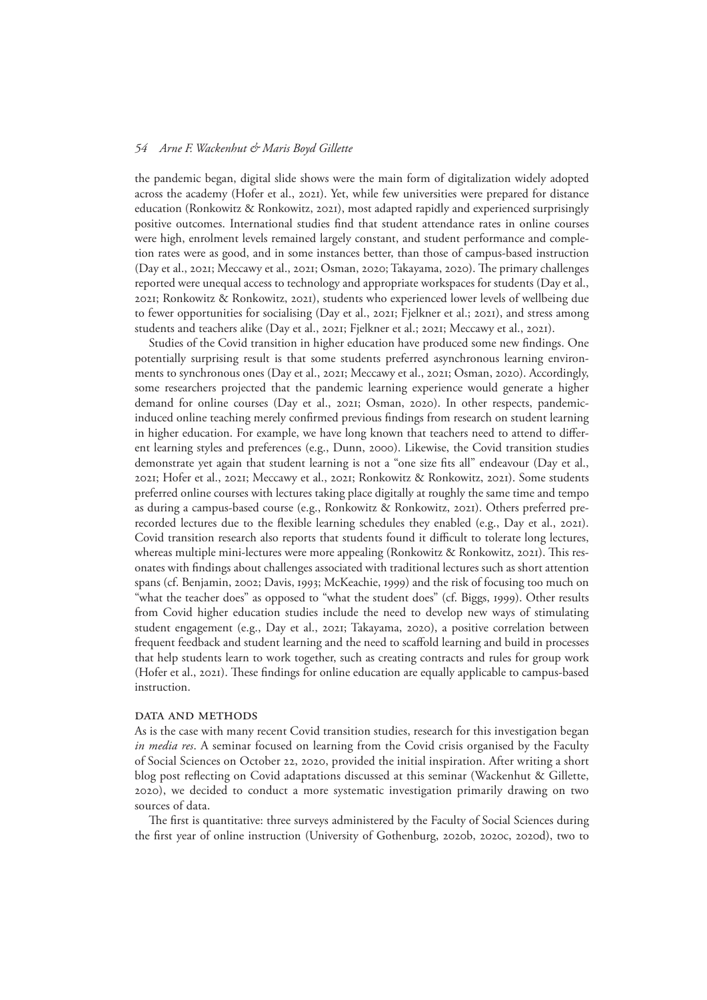the pandemic began, digital slide shows were the main form of digitalization widely adopted across the academy (Hofer et al., 2021). Yet, while few universities were prepared for distance education (Ronkowitz & Ronkowitz, 2021), most adapted rapidly and experienced surprisingly positive outcomes. International studies find that student attendance rates in online courses were high, enrolment levels remained largely constant, and student performance and completion rates were as good, and in some instances better, than those of campus-based instruction (Day et al., 2021; Meccawy et al., 2021; Osman, 2020; Takayama, 2020). The primary challenges reported were unequal access to technology and appropriate workspaces for students (Day et al., 2021; Ronkowitz & Ronkowitz, 2021), students who experienced lower levels of wellbeing due to fewer opportunities for socialising (Day et al., 2021; Fjelkner et al.; 2021), and stress among students and teachers alike (Day et al., 2021; Fjelkner et al.; 2021; Meccawy et al., 2021).

Studies of the Covid transition in higher education have produced some new findings. One potentially surprising result is that some students preferred asynchronous learning environments to synchronous ones (Day et al., 2021; Meccawy et al., 2021; Osman, 2020). Accordingly, some researchers projected that the pandemic learning experience would generate a higher demand for online courses (Day et al., 2021; Osman, 2020). In other respects, pandemicinduced online teaching merely confirmed previous findings from research on student learning in higher education. For example, we have long known that teachers need to attend to different learning styles and preferences (e.g., Dunn, 2000). Likewise, the Covid transition studies demonstrate yet again that student learning is not a "one size fits all" endeavour (Day et al., 2021; Hofer et al., 2021; Meccawy et al., 2021; Ronkowitz & Ronkowitz, 2021). Some students preferred online courses with lectures taking place digitally at roughly the same time and tempo as during a campus-based course (e.g., Ronkowitz & Ronkowitz, 2021). Others preferred prerecorded lectures due to the flexible learning schedules they enabled (e.g., Day et al., 2021). Covid transition research also reports that students found it difficult to tolerate long lectures, whereas multiple mini-lectures were more appealing (Ronkowitz & Ronkowitz, 2021). This resonates with findings about challenges associated with traditional lectures such as short attention spans (cf. Benjamin, 2002; Davis, 1993; McKeachie, 1999) and the risk of focusing too much on "what the teacher does" as opposed to "what the student does" (cf. Biggs, 1999). Other results from Covid higher education studies include the need to develop new ways of stimulating student engagement (e.g., Day et al., 2021; Takayama, 2020), a positive correlation between frequent feedback and student learning and the need to scaffold learning and build in processes that help students learn to work together, such as creating contracts and rules for group work (Hofer et al., 2021). These findings for online education are equally applicable to campus-based instruction.

#### DATA AND METHODS

As is the case with many recent Covid transition studies, research for this investigation began *in media res*. A seminar focused on learning from the Covid crisis organised by the Faculty of Social Sciences on October 22, 2020, provided the initial inspiration. After writing a short blog post reflecting on Covid adaptations discussed at this seminar (Wackenhut & Gillette, 2020), we decided to conduct a more systematic investigation primarily drawing on two sources of data.

The first is quantitative: three surveys administered by the Faculty of Social Sciences during the first year of online instruction (University of Gothenburg, 2020b, 2020c, 2020d), two to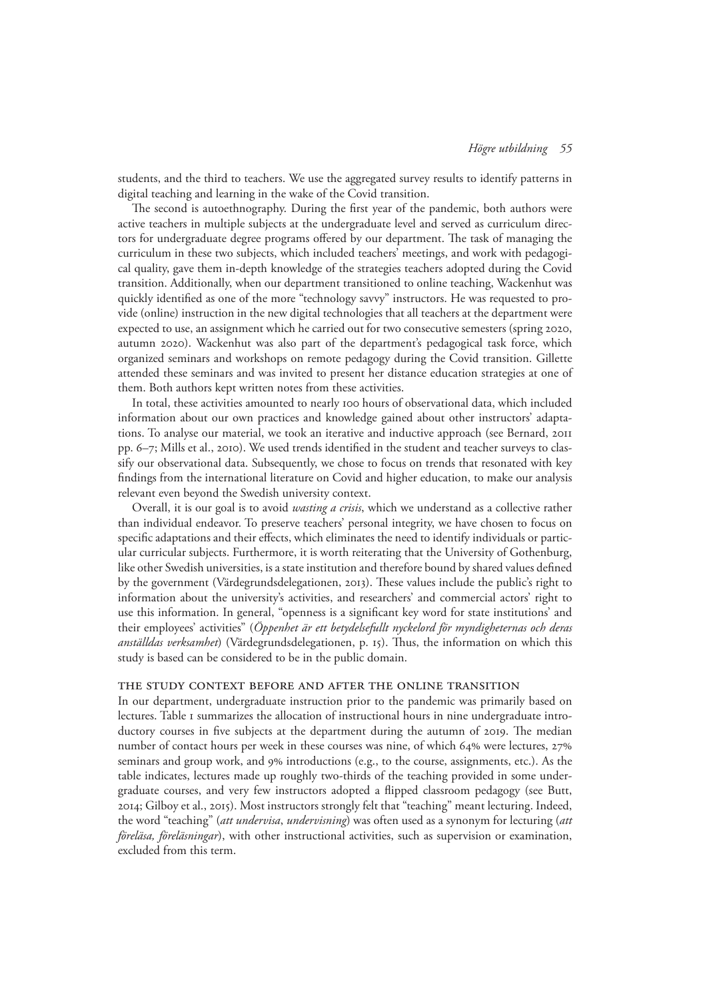students, and the third to teachers. We use the aggregated survey results to identify patterns in digital teaching and learning in the wake of the Covid transition.

The second is autoethnography. During the first year of the pandemic, both authors were active teachers in multiple subjects at the undergraduate level and served as curriculum directors for undergraduate degree programs offered by our department. The task of managing the curriculum in these two subjects, which included teachers' meetings, and work with pedagogical quality, gave them in-depth knowledge of the strategies teachers adopted during the Covid transition. Additionally, when our department transitioned to online teaching, Wackenhut was quickly identified as one of the more "technology savvy" instructors. He was requested to provide (online) instruction in the new digital technologies that all teachers at the department were expected to use, an assignment which he carried out for two consecutive semesters (spring 2020, autumn 2020). Wackenhut was also part of the department's pedagogical task force, which organized seminars and workshops on remote pedagogy during the Covid transition. Gillette attended these seminars and was invited to present her distance education strategies at one of them. Both authors kept written notes from these activities.

In total, these activities amounted to nearly 100 hours of observational data, which included information about our own practices and knowledge gained about other instructors' adaptations. To analyse our material, we took an iterative and inductive approach (see Bernard, 2011 pp. 6–7; Mills et al., 2010). We used trends identified in the student and teacher surveys to classify our observational data. Subsequently, we chose to focus on trends that resonated with key findings from the international literature on Covid and higher education, to make our analysis relevant even beyond the Swedish university context.

Overall, it is our goal is to avoid *wasting a crisis*, which we understand as a collective rather than individual endeavor. To preserve teachers' personal integrity, we have chosen to focus on specific adaptations and their effects, which eliminates the need to identify individuals or particular curricular subjects. Furthermore, it is worth reiterating that the University of Gothenburg, like other Swedish universities, is a state institution and therefore bound by shared values defined by the government (Värdegrundsdelegationen, 2013). These values include the public's right to information about the university's activities, and researchers' and commercial actors' right to use this information. In general, "openness is a significant key word for state institutions' and their employees' activities" (*Öppenhet är ett betydelsefullt nyckelord för myndigheternas och deras anställdas verksamhet*) (Värdegrundsdelegationen, p. 15). Thus, the information on which this study is based can be considered to be in the public domain.

#### The study context before and after the online transition

In our department, undergraduate instruction prior to the pandemic was primarily based on lectures. Table 1 summarizes the allocation of instructional hours in nine undergraduate introductory courses in five subjects at the department during the autumn of 2019. The median number of contact hours per week in these courses was nine, of which 64% were lectures, 27% seminars and group work, and 9% introductions (e.g., to the course, assignments, etc.). As the table indicates, lectures made up roughly two-thirds of the teaching provided in some undergraduate courses, and very few instructors adopted a flipped classroom pedagogy (see Butt, 2014; Gilboy et al., 2015). Most instructors strongly felt that "teaching" meant lecturing. Indeed, the word "teaching" (*att undervisa*, *undervisning*) was often used as a synonym for lecturing (*att föreläsa, föreläsningar*), with other instructional activities, such as supervision or examination, excluded from this term.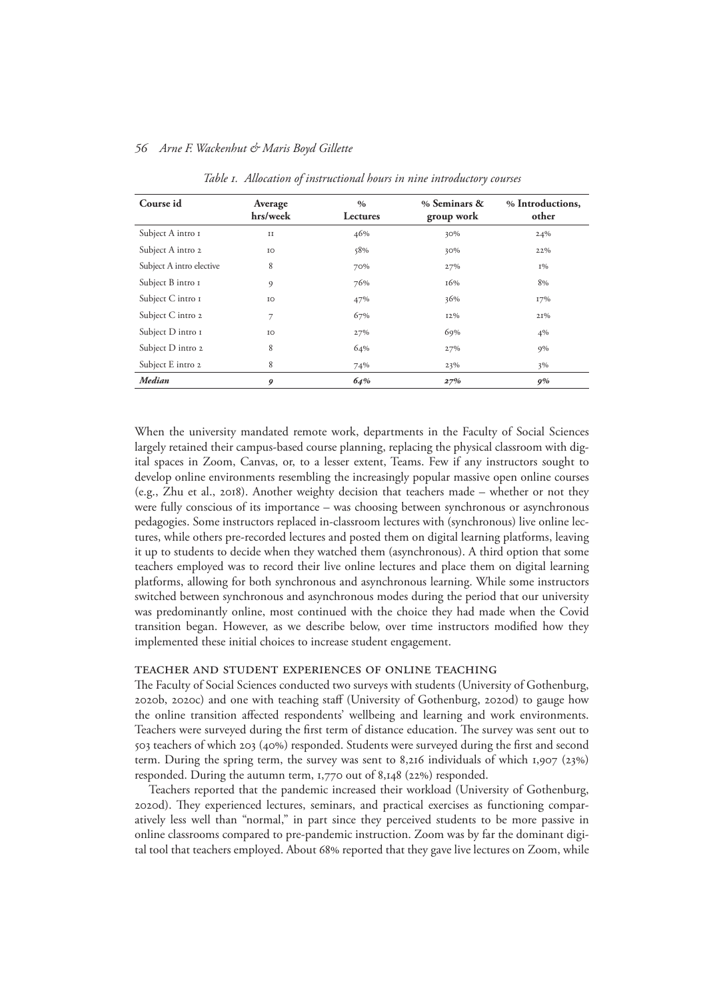| Course id                | Average<br>hrs/week | $\%$<br>Lectures | % Seminars &<br>group work | % Introductions,<br>other |
|--------------------------|---------------------|------------------|----------------------------|---------------------------|
| Subject A intro I        | $_{\rm II}$         | 46%              | 30%                        | 24%                       |
| Subject A intro 2        | IO                  | 58%              | 30%                        | 22%                       |
| Subject A intro elective | 8                   | 70%              | 27%                        | $1\%$                     |
| Subject B intro I        | 9                   | 76%              | 16%                        | 8%                        |
| Subject C intro I        | IO                  | 47%              | 36%                        | 17%                       |
| Subject C intro 2        | 7                   | 67%              | 12%                        | 21%                       |
| Subject D intro I        | IO                  | 27%              | 69%                        | $4\%$                     |
| Subject D intro 2        | 8                   | 64%              | 27%                        | $9\%$                     |
| Subject E intro 2        | 8                   | 74%              | 23%                        | 3%                        |
| <b>Median</b>            | 9                   | 64%              | 27%                        | 9%                        |

*Table 1. Allocation of instructional hours in nine introductory courses*

When the university mandated remote work, departments in the Faculty of Social Sciences largely retained their campus-based course planning, replacing the physical classroom with digital spaces in Zoom, Canvas, or, to a lesser extent, Teams. Few if any instructors sought to develop online environments resembling the increasingly popular massive open online courses (e.g., Zhu et al., 2018). Another weighty decision that teachers made – whether or not they were fully conscious of its importance – was choosing between synchronous or asynchronous pedagogies. Some instructors replaced in-classroom lectures with (synchronous) live online lectures, while others pre-recorded lectures and posted them on digital learning platforms, leaving it up to students to decide when they watched them (asynchronous). A third option that some teachers employed was to record their live online lectures and place them on digital learning platforms, allowing for both synchronous and asynchronous learning. While some instructors switched between synchronous and asynchronous modes during the period that our university was predominantly online, most continued with the choice they had made when the Covid transition began. However, as we describe below, over time instructors modified how they implemented these initial choices to increase student engagement.

## Teacher and student experiences of online teaching

The Faculty of Social Sciences conducted two surveys with students (University of Gothenburg, 2020b, 2020c) and one with teaching staff (University of Gothenburg, 2020d) to gauge how the online transition affected respondents' wellbeing and learning and work environments. Teachers were surveyed during the first term of distance education. The survey was sent out to 503 teachers of which 203 (40%) responded. Students were surveyed during the first and second term. During the spring term, the survey was sent to 8,216 individuals of which 1,907 (23%) responded. During the autumn term, 1,770 out of 8,148 (22%) responded.

Teachers reported that the pandemic increased their workload (University of Gothenburg, 2020d). They experienced lectures, seminars, and practical exercises as functioning comparatively less well than "normal," in part since they perceived students to be more passive in online classrooms compared to pre-pandemic instruction. Zoom was by far the dominant digital tool that teachers employed. About 68% reported that they gave live lectures on Zoom, while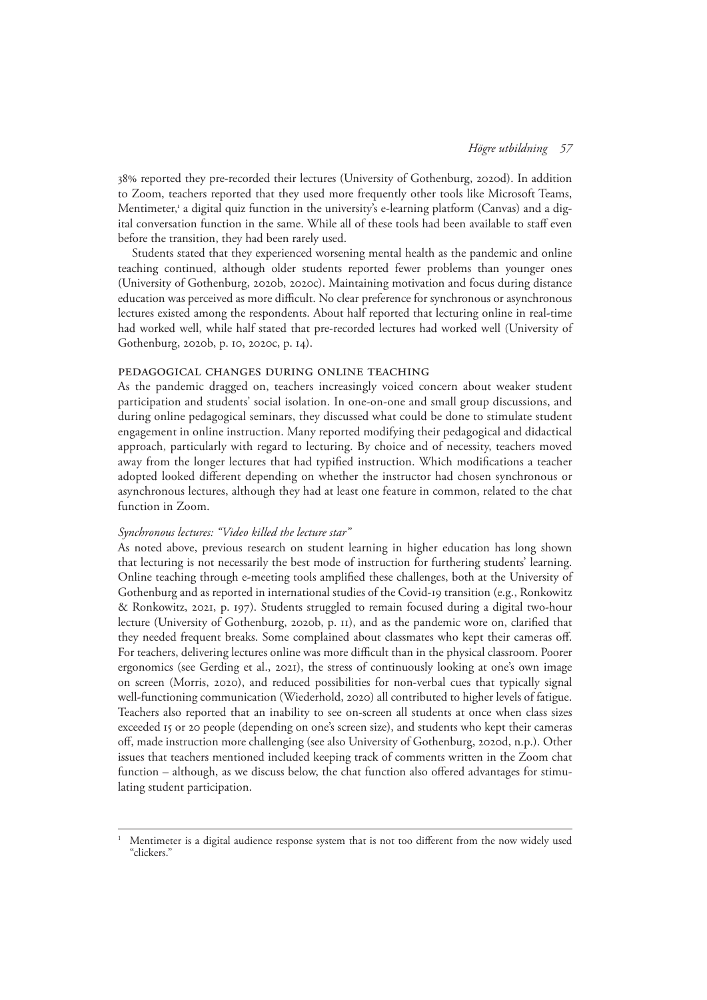38% reported they pre-recorded their lectures (University of Gothenburg, 2020d). In addition to Zoom, teachers reported that they used more frequently other tools like Microsoft Teams, Mentimeter,<sup>1</sup> a digital quiz function in the university's e-learning platform (Canvas) and a digital conversation function in the same. While all of these tools had been available to staff even before the transition, they had been rarely used.

Students stated that they experienced worsening mental health as the pandemic and online teaching continued, although older students reported fewer problems than younger ones (University of Gothenburg, 2020b, 2020c). Maintaining motivation and focus during distance education was perceived as more difficult. No clear preference for synchronous or asynchronous lectures existed among the respondents. About half reported that lecturing online in real-time had worked well, while half stated that pre-recorded lectures had worked well (University of Gothenburg, 2020b, p. 10, 2020c, p. 14).

## Pedagogical changes during online teaching

As the pandemic dragged on, teachers increasingly voiced concern about weaker student participation and students' social isolation. In one-on-one and small group discussions, and during online pedagogical seminars, they discussed what could be done to stimulate student engagement in online instruction. Many reported modifying their pedagogical and didactical approach, particularly with regard to lecturing. By choice and of necessity, teachers moved away from the longer lectures that had typified instruction. Which modifications a teacher adopted looked different depending on whether the instructor had chosen synchronous or asynchronous lectures, although they had at least one feature in common, related to the chat function in Zoom.

## *Synchronous lectures: "Video killed the lecture star"*

As noted above, previous research on student learning in higher education has long shown that lecturing is not necessarily the best mode of instruction for furthering students' learning. Online teaching through e-meeting tools amplified these challenges, both at the University of Gothenburg and as reported in international studies of the Covid-19 transition (e.g., Ronkowitz & Ronkowitz, 2021, p. 197). Students struggled to remain focused during a digital two-hour lecture (University of Gothenburg, 2020b, p. 11), and as the pandemic wore on, clarified that they needed frequent breaks. Some complained about classmates who kept their cameras off. For teachers, delivering lectures online was more difficult than in the physical classroom. Poorer ergonomics (see Gerding et al., 2021), the stress of continuously looking at one's own image on screen (Morris, 2020), and reduced possibilities for non-verbal cues that typically signal well-functioning communication (Wiederhold, 2020) all contributed to higher levels of fatigue. Teachers also reported that an inability to see on-screen all students at once when class sizes exceeded 15 or 20 people (depending on one's screen size), and students who kept their cameras off, made instruction more challenging (see also University of Gothenburg, 2020d, n.p.). Other issues that teachers mentioned included keeping track of comments written in the Zoom chat function – although, as we discuss below, the chat function also offered advantages for stimulating student participation.

<sup>1</sup> Mentimeter is a digital audience response system that is not too different from the now widely used "clickers."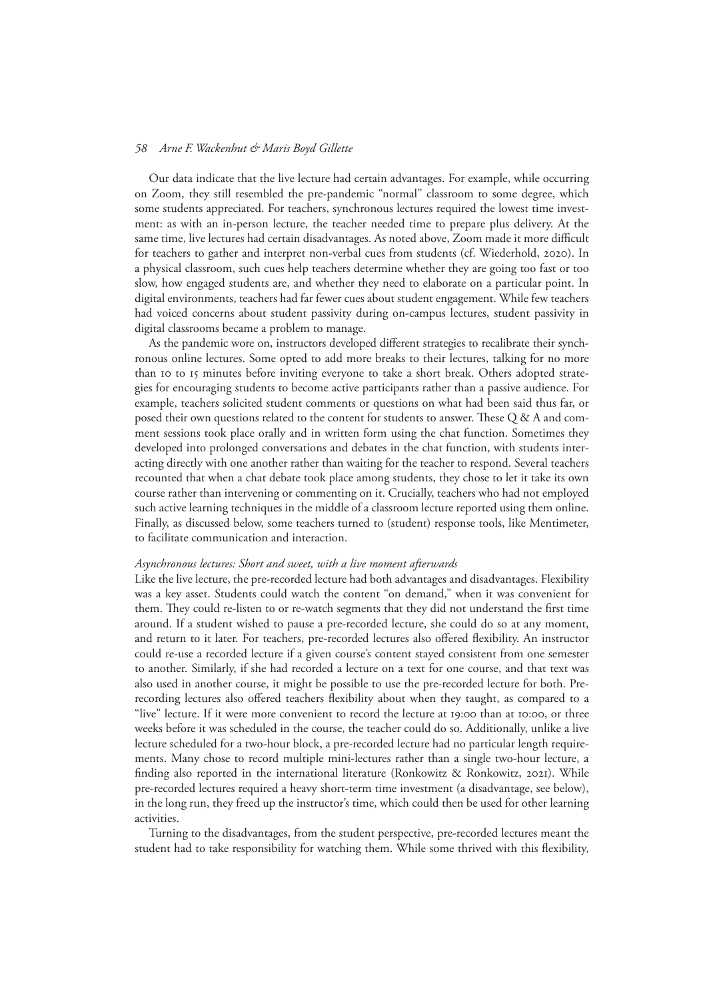Our data indicate that the live lecture had certain advantages. For example, while occurring on Zoom, they still resembled the pre-pandemic "normal" classroom to some degree, which some students appreciated. For teachers, synchronous lectures required the lowest time investment: as with an in-person lecture, the teacher needed time to prepare plus delivery. At the same time, live lectures had certain disadvantages. As noted above, Zoom made it more difficult for teachers to gather and interpret non-verbal cues from students (cf. Wiederhold, 2020). In a physical classroom, such cues help teachers determine whether they are going too fast or too slow, how engaged students are, and whether they need to elaborate on a particular point. In digital environments, teachers had far fewer cues about student engagement. While few teachers had voiced concerns about student passivity during on-campus lectures, student passivity in digital classrooms became a problem to manage.

As the pandemic wore on, instructors developed different strategies to recalibrate their synchronous online lectures. Some opted to add more breaks to their lectures, talking for no more than 10 to 15 minutes before inviting everyone to take a short break. Others adopted strategies for encouraging students to become active participants rather than a passive audience. For example, teachers solicited student comments or questions on what had been said thus far, or posed their own questions related to the content for students to answer. These Q & A and comment sessions took place orally and in written form using the chat function. Sometimes they developed into prolonged conversations and debates in the chat function, with students interacting directly with one another rather than waiting for the teacher to respond. Several teachers recounted that when a chat debate took place among students, they chose to let it take its own course rather than intervening or commenting on it. Crucially, teachers who had not employed such active learning techniques in the middle of a classroom lecture reported using them online. Finally, as discussed below, some teachers turned to (student) response tools, like Mentimeter, to facilitate communication and interaction.

## *Asynchronous lectures: Short and sweet, with a live moment afterwards*

Like the live lecture, the pre-recorded lecture had both advantages and disadvantages. Flexibility was a key asset. Students could watch the content "on demand," when it was convenient for them. They could re-listen to or re-watch segments that they did not understand the first time around. If a student wished to pause a pre-recorded lecture, she could do so at any moment, and return to it later. For teachers, pre-recorded lectures also offered flexibility. An instructor could re-use a recorded lecture if a given course's content stayed consistent from one semester to another. Similarly, if she had recorded a lecture on a text for one course, and that text was also used in another course, it might be possible to use the pre-recorded lecture for both. Prerecording lectures also offered teachers flexibility about when they taught, as compared to a "live" lecture. If it were more convenient to record the lecture at 19:00 than at 10:00, or three weeks before it was scheduled in the course, the teacher could do so. Additionally, unlike a live lecture scheduled for a two-hour block, a pre-recorded lecture had no particular length requirements. Many chose to record multiple mini-lectures rather than a single two-hour lecture, a finding also reported in the international literature (Ronkowitz & Ronkowitz, 2021). While pre-recorded lectures required a heavy short-term time investment (a disadvantage, see below), in the long run, they freed up the instructor's time, which could then be used for other learning activities.

Turning to the disadvantages, from the student perspective, pre-recorded lectures meant the student had to take responsibility for watching them. While some thrived with this flexibility,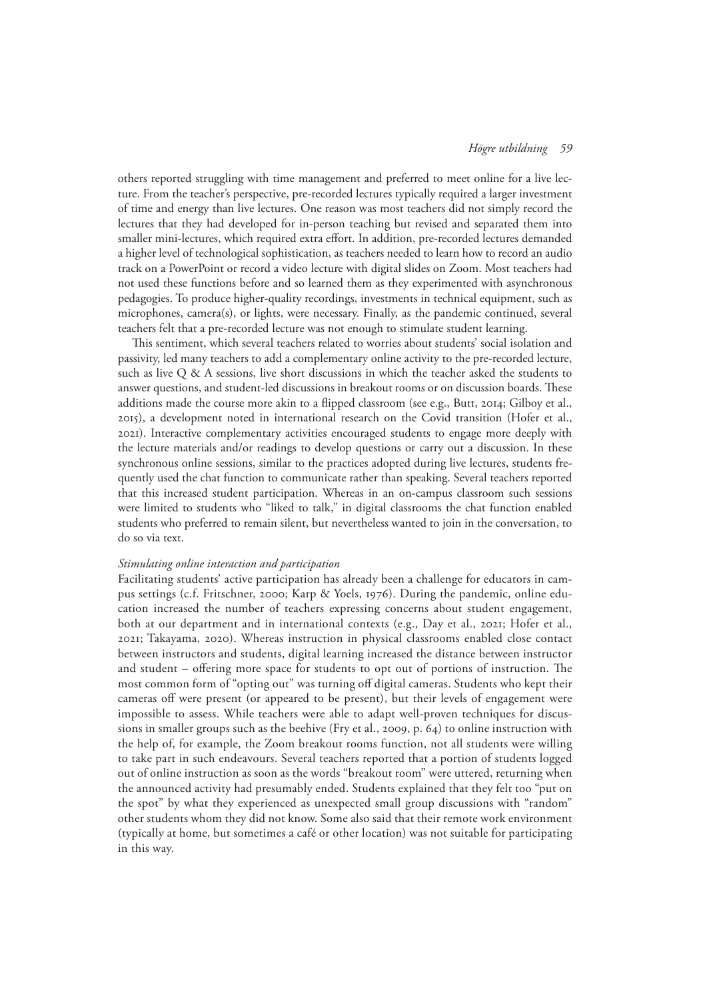others reported struggling with time management and preferred to meet online for a live lecture. From the teacher's perspective, pre-recorded lectures typically required a larger investment of time and energy than live lectures. One reason was most teachers did not simply record the lectures that they had developed for in-person teaching but revised and separated them into smaller mini-lectures, which required extra effort. In addition, pre-recorded lectures demanded a higher level of technological sophistication, as teachers needed to learn how to record an audio track on a PowerPoint or record a video lecture with digital slides on Zoom. Most teachers had not used these functions before and so learned them as they experimented with asynchronous pedagogies. To produce higher-quality recordings, investments in technical equipment, such as microphones, camera(s), or lights, were necessary. Finally, as the pandemic continued, several teachers felt that a pre-recorded lecture was not enough to stimulate student learning.

This sentiment, which several teachers related to worries about students' social isolation and passivity, led many teachers to add a complementary online activity to the pre-recorded lecture, such as live Q & A sessions, live short discussions in which the teacher asked the students to answer questions, and student-led discussions in breakout rooms or on discussion boards. These additions made the course more akin to a flipped classroom (see e.g., Butt, 2014; Gilboy et al., 2015), a development noted in international research on the Covid transition (Hofer et al., 2021). Interactive complementary activities encouraged students to engage more deeply with the lecture materials and/or readings to develop questions or carry out a discussion. In these synchronous online sessions, similar to the practices adopted during live lectures, students frequently used the chat function to communicate rather than speaking. Several teachers reported that this increased student participation. Whereas in an on-campus classroom such sessions were limited to students who "liked to talk," in digital classrooms the chat function enabled students who preferred to remain silent, but nevertheless wanted to join in the conversation, to do so via text.

## *Stimulating online interaction and participation*

Facilitating students' active participation has already been a challenge for educators in campus settings (c.f. Fritschner, 2000; Karp & Yoels, 1976). During the pandemic, online education increased the number of teachers expressing concerns about student engagement, both at our department and in international contexts (e.g., Day et al., 2021; Hofer et al., 2021; Takayama, 2020). Whereas instruction in physical classrooms enabled close contact between instructors and students, digital learning increased the distance between instructor and student – offering more space for students to opt out of portions of instruction. The most common form of "opting out" was turning off digital cameras. Students who kept their cameras off were present (or appeared to be present), but their levels of engagement were impossible to assess. While teachers were able to adapt well-proven techniques for discussions in smaller groups such as the beehive (Fry et al., 2009, p. 64) to online instruction with the help of, for example, the Zoom breakout rooms function, not all students were willing to take part in such endeavours. Several teachers reported that a portion of students logged out of online instruction as soon as the words "breakout room" were uttered, returning when the announced activity had presumably ended. Students explained that they felt too "put on the spot" by what they experienced as unexpected small group discussions with "random" other students whom they did not know. Some also said that their remote work environment (typically at home, but sometimes a café or other location) was not suitable for participating in this way.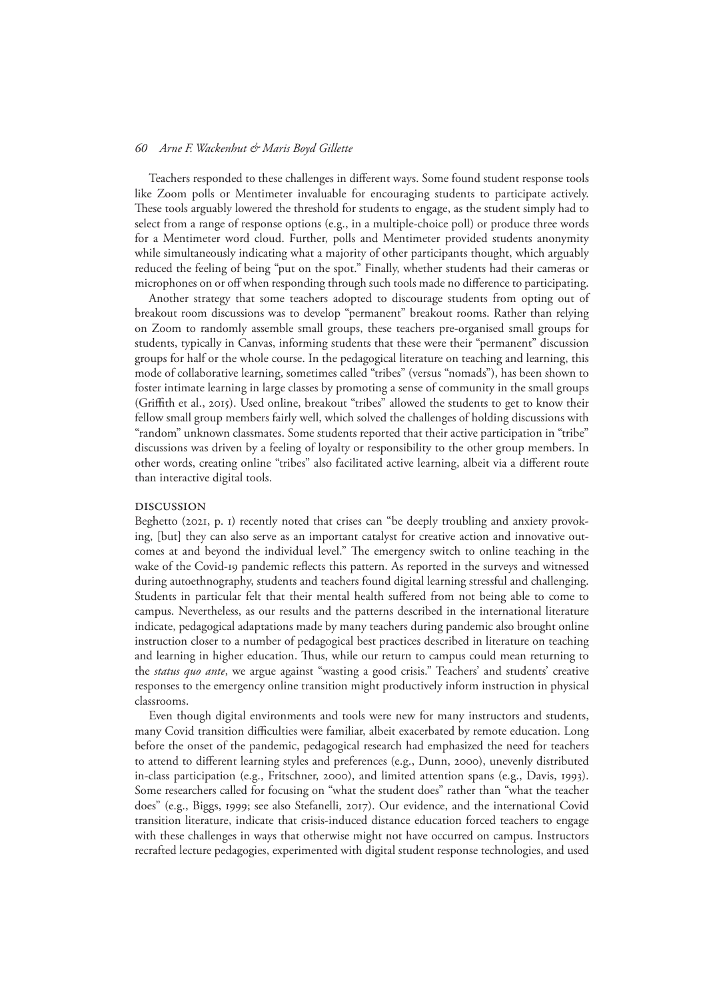Teachers responded to these challenges in different ways. Some found student response tools like Zoom polls or Mentimeter invaluable for encouraging students to participate actively. These tools arguably lowered the threshold for students to engage, as the student simply had to select from a range of response options (e.g., in a multiple-choice poll) or produce three words for a Mentimeter word cloud. Further, polls and Mentimeter provided students anonymity while simultaneously indicating what a majority of other participants thought, which arguably reduced the feeling of being "put on the spot." Finally, whether students had their cameras or microphones on or off when responding through such tools made no difference to participating.

Another strategy that some teachers adopted to discourage students from opting out of breakout room discussions was to develop "permanent" breakout rooms. Rather than relying on Zoom to randomly assemble small groups, these teachers pre-organised small groups for students, typically in Canvas, informing students that these were their "permanent" discussion groups for half or the whole course. In the pedagogical literature on teaching and learning, this mode of collaborative learning, sometimes called "tribes" (versus "nomads"), has been shown to foster intimate learning in large classes by promoting a sense of community in the small groups (Griffith et al., 2015). Used online, breakout "tribes" allowed the students to get to know their fellow small group members fairly well, which solved the challenges of holding discussions with "random" unknown classmates. Some students reported that their active participation in "tribe" discussions was driven by a feeling of loyalty or responsibility to the other group members. In other words, creating online "tribes" also facilitated active learning, albeit via a different route than interactive digital tools.

#### Discussion

Beghetto (2021, p. 1) recently noted that crises can "be deeply troubling and anxiety provoking, [but] they can also serve as an important catalyst for creative action and innovative outcomes at and beyond the individual level." The emergency switch to online teaching in the wake of the Covid-19 pandemic reflects this pattern. As reported in the surveys and witnessed during autoethnography, students and teachers found digital learning stressful and challenging. Students in particular felt that their mental health suffered from not being able to come to campus. Nevertheless, as our results and the patterns described in the international literature indicate, pedagogical adaptations made by many teachers during pandemic also brought online instruction closer to a number of pedagogical best practices described in literature on teaching and learning in higher education. Thus, while our return to campus could mean returning to the *status quo ante*, we argue against "wasting a good crisis." Teachers' and students' creative responses to the emergency online transition might productively inform instruction in physical classrooms.

Even though digital environments and tools were new for many instructors and students, many Covid transition difficulties were familiar, albeit exacerbated by remote education. Long before the onset of the pandemic, pedagogical research had emphasized the need for teachers to attend to different learning styles and preferences (e.g., Dunn, 2000), unevenly distributed in-class participation (e.g., Fritschner, 2000), and limited attention spans (e.g., Davis, 1993). Some researchers called for focusing on "what the student does" rather than "what the teacher does" (e.g., Biggs, 1999; see also Stefanelli, 2017). Our evidence, and the international Covid transition literature, indicate that crisis-induced distance education forced teachers to engage with these challenges in ways that otherwise might not have occurred on campus. Instructors recrafted lecture pedagogies, experimented with digital student response technologies, and used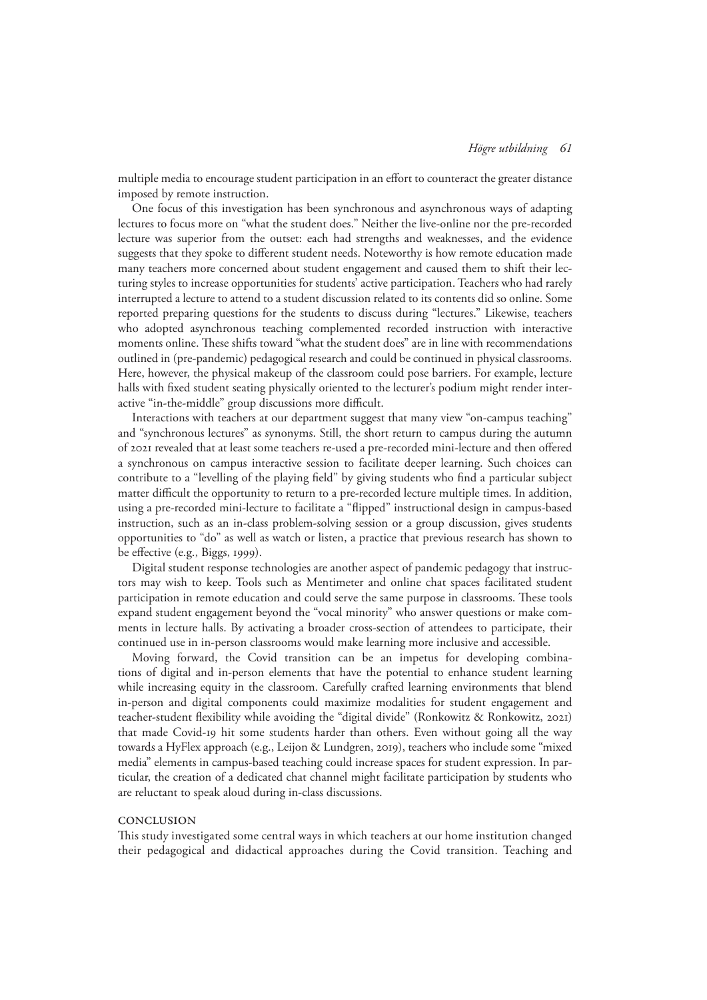multiple media to encourage student participation in an effort to counteract the greater distance imposed by remote instruction.

One focus of this investigation has been synchronous and asynchronous ways of adapting lectures to focus more on "what the student does." Neither the live-online nor the pre-recorded lecture was superior from the outset: each had strengths and weaknesses, and the evidence suggests that they spoke to different student needs. Noteworthy is how remote education made many teachers more concerned about student engagement and caused them to shift their lecturing styles to increase opportunities for students' active participation. Teachers who had rarely interrupted a lecture to attend to a student discussion related to its contents did so online. Some reported preparing questions for the students to discuss during "lectures." Likewise, teachers who adopted asynchronous teaching complemented recorded instruction with interactive moments online. These shifts toward "what the student does" are in line with recommendations outlined in (pre-pandemic) pedagogical research and could be continued in physical classrooms. Here, however, the physical makeup of the classroom could pose barriers. For example, lecture halls with fixed student seating physically oriented to the lecturer's podium might render interactive "in-the-middle" group discussions more difficult.

Interactions with teachers at our department suggest that many view "on-campus teaching" and "synchronous lectures" as synonyms. Still, the short return to campus during the autumn of 2021 revealed that at least some teachers re-used a pre-recorded mini-lecture and then offered a synchronous on campus interactive session to facilitate deeper learning. Such choices can contribute to a "levelling of the playing field" by giving students who find a particular subject matter difficult the opportunity to return to a pre-recorded lecture multiple times. In addition, using a pre-recorded mini-lecture to facilitate a "flipped" instructional design in campus-based instruction, such as an in-class problem-solving session or a group discussion, gives students opportunities to "do" as well as watch or listen, a practice that previous research has shown to be effective (e.g., Biggs, 1999).

Digital student response technologies are another aspect of pandemic pedagogy that instructors may wish to keep. Tools such as Mentimeter and online chat spaces facilitated student participation in remote education and could serve the same purpose in classrooms. These tools expand student engagement beyond the "vocal minority" who answer questions or make comments in lecture halls. By activating a broader cross-section of attendees to participate, their continued use in in-person classrooms would make learning more inclusive and accessible.

Moving forward, the Covid transition can be an impetus for developing combinations of digital and in-person elements that have the potential to enhance student learning while increasing equity in the classroom. Carefully crafted learning environments that blend in-person and digital components could maximize modalities for student engagement and teacher-student flexibility while avoiding the "digital divide" (Ronkowitz & Ronkowitz, 2021) that made Covid-19 hit some students harder than others. Even without going all the way towards a HyFlex approach (e.g., Leijon & Lundgren, 2019), teachers who include some "mixed media" elements in campus-based teaching could increase spaces for student expression. In particular, the creation of a dedicated chat channel might facilitate participation by students who are reluctant to speak aloud during in-class discussions.

#### **CONCLUSION**

This study investigated some central ways in which teachers at our home institution changed their pedagogical and didactical approaches during the Covid transition. Teaching and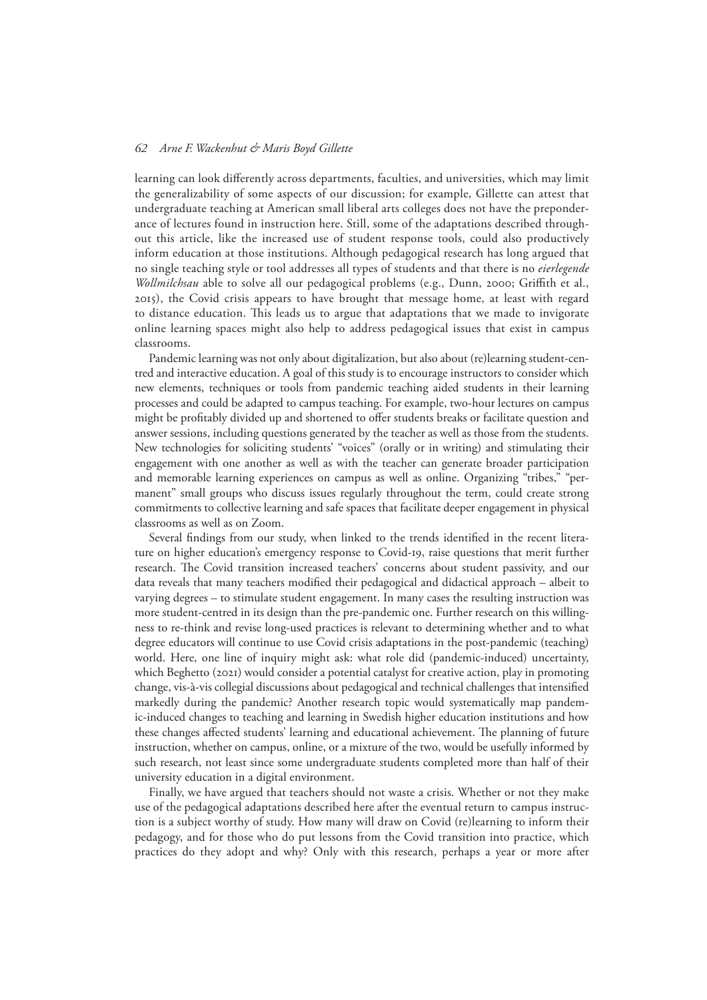learning can look differently across departments, faculties, and universities, which may limit the generalizability of some aspects of our discussion; for example, Gillette can attest that undergraduate teaching at American small liberal arts colleges does not have the preponderance of lectures found in instruction here. Still, some of the adaptations described throughout this article, like the increased use of student response tools, could also productively inform education at those institutions. Although pedagogical research has long argued that no single teaching style or tool addresses all types of students and that there is no *eierlegende Wollmilchsau* able to solve all our pedagogical problems (e.g., Dunn, 2000; Griffith et al., 2015), the Covid crisis appears to have brought that message home, at least with regard to distance education. This leads us to argue that adaptations that we made to invigorate online learning spaces might also help to address pedagogical issues that exist in campus classrooms.

Pandemic learning was not only about digitalization, but also about (re)learning student-centred and interactive education. A goal of this study is to encourage instructors to consider which new elements, techniques or tools from pandemic teaching aided students in their learning processes and could be adapted to campus teaching. For example, two-hour lectures on campus might be profitably divided up and shortened to offer students breaks or facilitate question and answer sessions, including questions generated by the teacher as well as those from the students. New technologies for soliciting students' "voices" (orally or in writing) and stimulating their engagement with one another as well as with the teacher can generate broader participation and memorable learning experiences on campus as well as online. Organizing "tribes," "permanent" small groups who discuss issues regularly throughout the term, could create strong commitments to collective learning and safe spaces that facilitate deeper engagement in physical classrooms as well as on Zoom.

Several findings from our study, when linked to the trends identified in the recent literature on higher education's emergency response to Covid-19, raise questions that merit further research. The Covid transition increased teachers' concerns about student passivity, and our data reveals that many teachers modified their pedagogical and didactical approach – albeit to varying degrees – to stimulate student engagement. In many cases the resulting instruction was more student-centred in its design than the pre-pandemic one. Further research on this willingness to re-think and revise long-used practices is relevant to determining whether and to what degree educators will continue to use Covid crisis adaptations in the post-pandemic (teaching) world. Here, one line of inquiry might ask: what role did (pandemic-induced) uncertainty, which Beghetto (2021) would consider a potential catalyst for creative action, play in promoting change, vis-à-vis collegial discussions about pedagogical and technical challenges that intensified markedly during the pandemic? Another research topic would systematically map pandemic-induced changes to teaching and learning in Swedish higher education institutions and how these changes affected students' learning and educational achievement. The planning of future instruction, whether on campus, online, or a mixture of the two, would be usefully informed by such research, not least since some undergraduate students completed more than half of their university education in a digital environment.

Finally, we have argued that teachers should not waste a crisis. Whether or not they make use of the pedagogical adaptations described here after the eventual return to campus instruction is a subject worthy of study. How many will draw on Covid (re)learning to inform their pedagogy, and for those who do put lessons from the Covid transition into practice, which practices do they adopt and why? Only with this research, perhaps a year or more after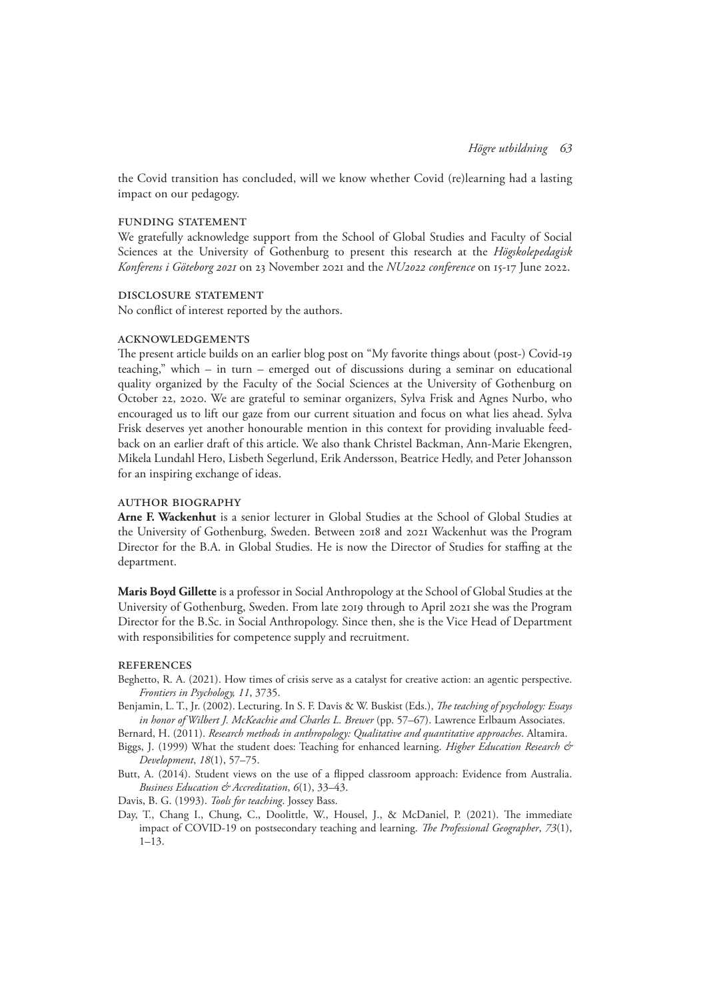the Covid transition has concluded, will we know whether Covid (re)learning had a lasting impact on our pedagogy.

#### FUNDING STATEMENT

We gratefully acknowledge support from the School of Global Studies and Faculty of Social Sciences at the University of Gothenburg to present this research at the *Högskolepedagisk Konferens i Göteborg 2021* on 23 November 2021 and the *NU2022 conference* on 15-17 June 2022.

## Disclosure Statement

No conflict of interest reported by the authors.

#### Acknowledgements

The present article builds on an earlier blog post on "My favorite things about (post-) Covid-19 teaching," which – in turn – emerged out of discussions during a seminar on educational quality organized by the Faculty of the Social Sciences at the University of Gothenburg on October 22, 2020. We are grateful to seminar organizers, Sylva Frisk and Agnes Nurbo, who encouraged us to lift our gaze from our current situation and focus on what lies ahead. Sylva Frisk deserves yet another honourable mention in this context for providing invaluable feedback on an earlier draft of this article. We also thank Christel Backman, Ann-Marie Ekengren, Mikela Lundahl Hero, Lisbeth Segerlund, Erik Andersson, Beatrice Hedly, and Peter Johansson for an inspiring exchange of ideas.

# AUTHOR BIOGRAPHY

**Arne F. Wackenhut** is a senior lecturer in Global Studies at the School of Global Studies at the University of Gothenburg, Sweden. Between 2018 and 2021 Wackenhut was the Program Director for the B.A. in Global Studies. He is now the Director of Studies for staffing at the department.

**Maris Boyd Gillette** is a professor in Social Anthropology at the School of Global Studies at the University of Gothenburg, Sweden. From late 2019 through to April 2021 she was the Program Director for the B.Sc. in Social Anthropology. Since then, she is the Vice Head of Department with responsibilities for competence supply and recruitment.

#### **REFERENCES**

- Beghetto, R. A. (2021). How times of crisis serve as a catalyst for creative action: an agentic perspective. *Frontiers in Psychology, 11*, 3735.
- Benjamin, L. T., Jr. (2002). Lecturing. In S. F. Davis & W. Buskist (Eds.), *The teaching of psychology: Essays in honor of Wilbert J. McKeachie and Charles L. Brewer* (pp. 57–67). Lawrence Erlbaum Associates.

Bernard, H. (2011). *Research methods in anthropology: Qualitative and quantitative approaches*. Altamira.

Biggs, J. (1999) What the student does: Teaching for enhanced learning. *Higher Education Research & Development*, *18*(1), 57–75.

- Butt, A. (2014). Student views on the use of a flipped classroom approach: Evidence from Australia. *Business Education & Accreditation*, *6*(1), 33–43.
- Davis, B. G. (1993). *Tools for teaching*. Jossey Bass.
- Day, T., Chang I., Chung, C., Doolittle, W., Housel, J., & McDaniel, P. (2021). The immediate impact of COVID-19 on postsecondary teaching and learning. *The Professional Geographer*, *73*(1),  $1-13.$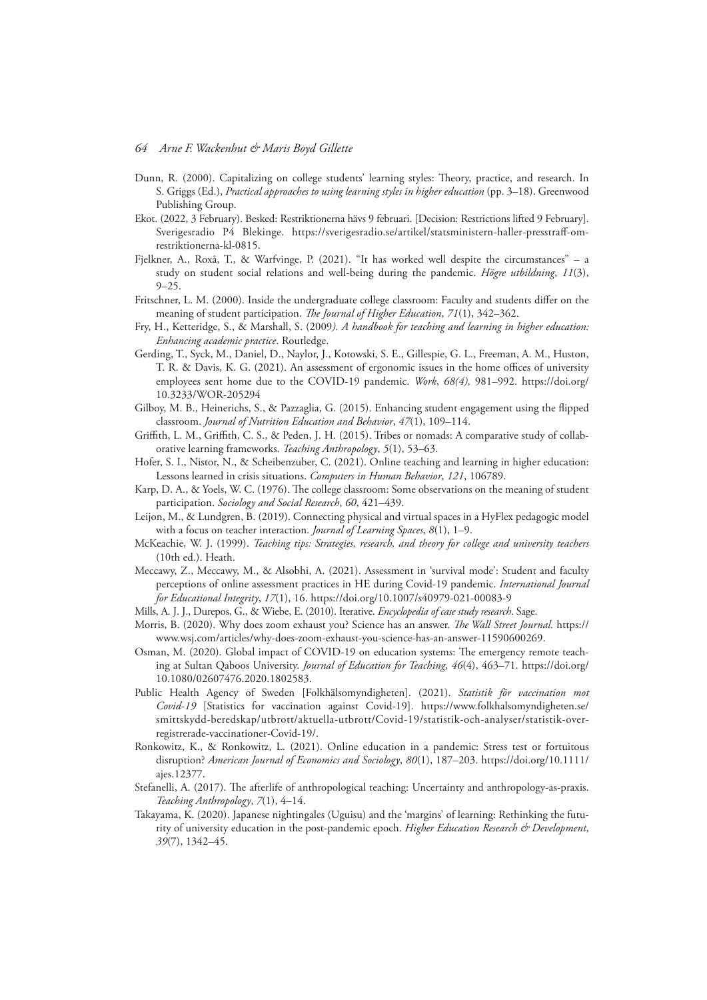- Dunn, R. (2000). Capitalizing on college students' learning styles: Theory, practice, and research. In S. Griggs (Ed.), *Practical approaches to using learning styles in higher education* (pp. 3–18). Greenwood Publishing Group.
- Ekot. (2022, 3 February). Besked: Restriktionerna hävs 9 februari. [Decision: Restrictions lifted 9 February]. Sverigesradio P4 Blekinge. [https://sverigesradio.se/artikel/statsministern-haller-presstraff-om](https://sverigesradio.se/artikel/statsministern-haller-presstraff-om-restriktionerna-kl-0815)[restriktionerna-kl-0815](https://sverigesradio.se/artikel/statsministern-haller-presstraff-om-restriktionerna-kl-0815).
- Fjelkner, A., Roxå, T., & Warfvinge, P. (2021). "It has worked well despite the circumstances" a study on student social relations and well-being during the pandemic. *Högre utbildning*, *11*(3), 9–25.
- Fritschner, L. M. (2000). Inside the undergraduate college classroom: Faculty and students differ on the meaning of student participation. *The Journal of Higher Education*, *71*(1), 342–362.
- Fry, H., Ketteridge, S., & Marshall, S. (2009*). A handbook for teaching and learning in higher education: Enhancing academic practice*. Routledge.
- Gerding, T., Syck, M., Daniel, D., Naylor, J., Kotowski, S. E., Gillespie, G. L., Freeman, A. M., Huston, T. R. & Davis, K. G. (2021). An assessment of ergonomic issues in the home offices of university employees sent home due to the COVID-19 pandemic. *Work*, *68(4),* 981–992. [https://doi.org/](https://doi.org/10.3233/WOR-205294) [10.3233/WOR-205294](https://doi.org/10.3233/WOR-205294)
- Gilboy, M. B., Heinerichs, S., & Pazzaglia, G. (2015). Enhancing student engagement using the flipped classroom. *Journal of Nutrition Education and Behavior*, *47*(1), 109–114.
- Griffith, L. M., Griffith, C. S., & Peden, J. H. (2015). Tribes or nomads: A comparative study of collaborative learning frameworks. *Teaching Anthropology*, *5*(1), 53–63.
- Hofer, S. I., Nistor, N., & Scheibenzuber, C. (2021). Online teaching and learning in higher education: Lessons learned in crisis situations. *Computers in Human Behavior*, *121*, 106789.
- Karp, D. A., & Yoels, W. C. (1976). The college classroom: Some observations on the meaning of student participation. *Sociology and Social Research*, *60*, 421–439.
- Leijon, M., & Lundgren, B. (2019). Connecting physical and virtual spaces in a HyFlex pedagogic model with a focus on teacher interaction. *Journal of Learning Spaces*, *8*(1), 1–9.
- McKeachie, W. J. (1999). *Teaching tips: Strategies, research, and theory for college and university teachers* (10th ed.). Heath.
- Meccawy, Z., Meccawy, M., & Alsobhi, A. (2021). Assessment in 'survival mode': Student and faculty perceptions of online assessment practices in HE during Covid-19 pandemic. *International Journal for Educational Integrity*, *17*(1), 16. https://doi.org/10.1007/s40979-021-00083-9
- Mills, A. J. J., Durepos, G., & Wiebe, E. (2010). Iterative. *Encyclopedia of case study research*. Sage.
- Morris, B. (2020). Why does zoom exhaust you? Science has an answer. *The Wall Street Journal.* [https://](https://www.wsj.com/articles/why-does-zoom-exhaust-you-science-has-an-answer-11590600269) [www.wsj.com/articles/why-does-zoom-exhaust-you-science-has-an-answer-11590600269](https://www.wsj.com/articles/why-does-zoom-exhaust-you-science-has-an-answer-11590600269).
- Osman, M. (2020). Global impact of COVID-19 on education systems: The emergency remote teaching at Sultan Qaboos University. *Journal of Education for Teaching*, *46*(4), 463–71. [https://doi.org/](https://doi.org/10.1080/02607476.2020.1802583) [10.1080/02607476.2020.1802583](https://doi.org/10.1080/02607476.2020.1802583).
- Public Health Agency of Sweden [Folkhälsomyndigheten]. (2021). *Statistik för vaccination mot Covid-19* [Statistics for vaccination against Covid-19]. [https://www.folkhalsomyndigheten.se/](https://www.folkhalsomyndigheten.se/smittskydd-beredskap/utbrott/aktuella-utbrott/covid-19/statistik-och-analyser/statistik-over-registrerade-vaccinationer-covid-19/) [smittskydd-beredskap/utbrott/aktuella-utbrott/Covid-19/statistik-och-analyser/statistik-over](https://www.folkhalsomyndigheten.se/smittskydd-beredskap/utbrott/aktuella-utbrott/covid-19/statistik-och-analyser/statistik-over-registrerade-vaccinationer-covid-19/)[registrerade-vaccinationer-Covid-19/](https://www.folkhalsomyndigheten.se/smittskydd-beredskap/utbrott/aktuella-utbrott/covid-19/statistik-och-analyser/statistik-over-registrerade-vaccinationer-covid-19/).
- Ronkowitz, K., & Ronkowitz, L. (2021). Online education in a pandemic: Stress test or fortuitous disruption? *American Journal of Economics and Sociology*, *80*(1), 187–203. [https://doi.org/10.1111/](https://doi.org/10.1111/ajes.12377) [ajes.12377.](https://doi.org/10.1111/ajes.12377)
- Stefanelli, A. (2017). The afterlife of anthropological teaching: Uncertainty and anthropology-as-praxis. *Teaching Anthropology*, *7*(1), 4–14.
- Takayama, K. (2020). Japanese nightingales (Uguisu) and the 'margins' of learning: Rethinking the futurity of university education in the post-pandemic epoch. *Higher Education Research & Development*, *39*(7), 1342–45.